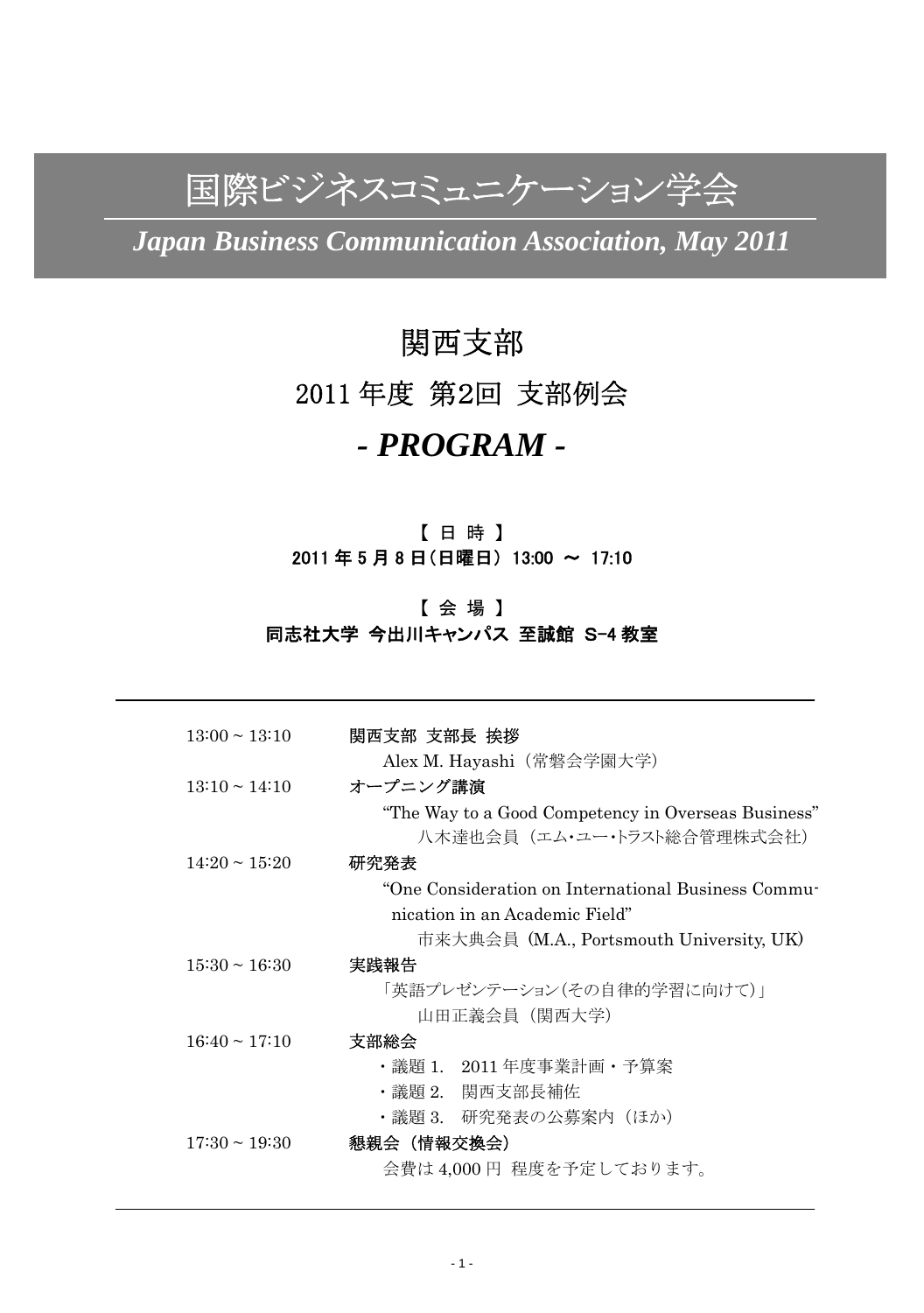国際ビジネスコミュニケーション学会

*Japan Business Communication Association, May 2011* 

# 関西支部 2011 年度 第2回 支部例会 *- PROGRAM -*

# 【 日 時 】 2011 年 5 月 8 日(日曜日) 13:00 ~ 17:10

# 【 会 場 】 同志社大学 今出川キャンパス 至誠館 S-4 教室

| $13:00 \sim 13:10$ | 関西支部 支部長 挨拶                                         |
|--------------------|-----------------------------------------------------|
|                    | Alex M. Hayashi(常磐会学園大学)                            |
| $13:10 \sim 14:10$ | オープニング講演                                            |
|                    | "The Way to a Good Competency in Overseas Business" |
|                    | 八木達也会員(エム・ユー・トラスト総合管理株式会社)                          |
| $14:20 \sim 15:20$ | 研究発表                                                |
|                    | "One Consideration on International Business Commu- |
|                    | nication in an Academic Field"                      |
|                    | 市来大典会員 (M.A., Portsmouth University, UK)            |
| $15:30 \sim 16:30$ | 実践報告                                                |
|                    | 「英語プレゼンテーション(その自律的学習に向けて)」                          |
|                    | 山田正義会員(関西大学)                                        |
| $16:40 \sim 17:10$ | 支部総会                                                |
|                    | ・議題 1. 2011 年度事業計画・予算案                              |
|                    | ・議題 2. 関西支部長補佐                                      |
|                    | ・議題 3. 研究発表の公募案内(ほか)                                |
| $17:30 \sim 19:30$ | 懇親会(情報交換会)                                          |
|                    | 会費は 4,000円 程度を予定しております。                             |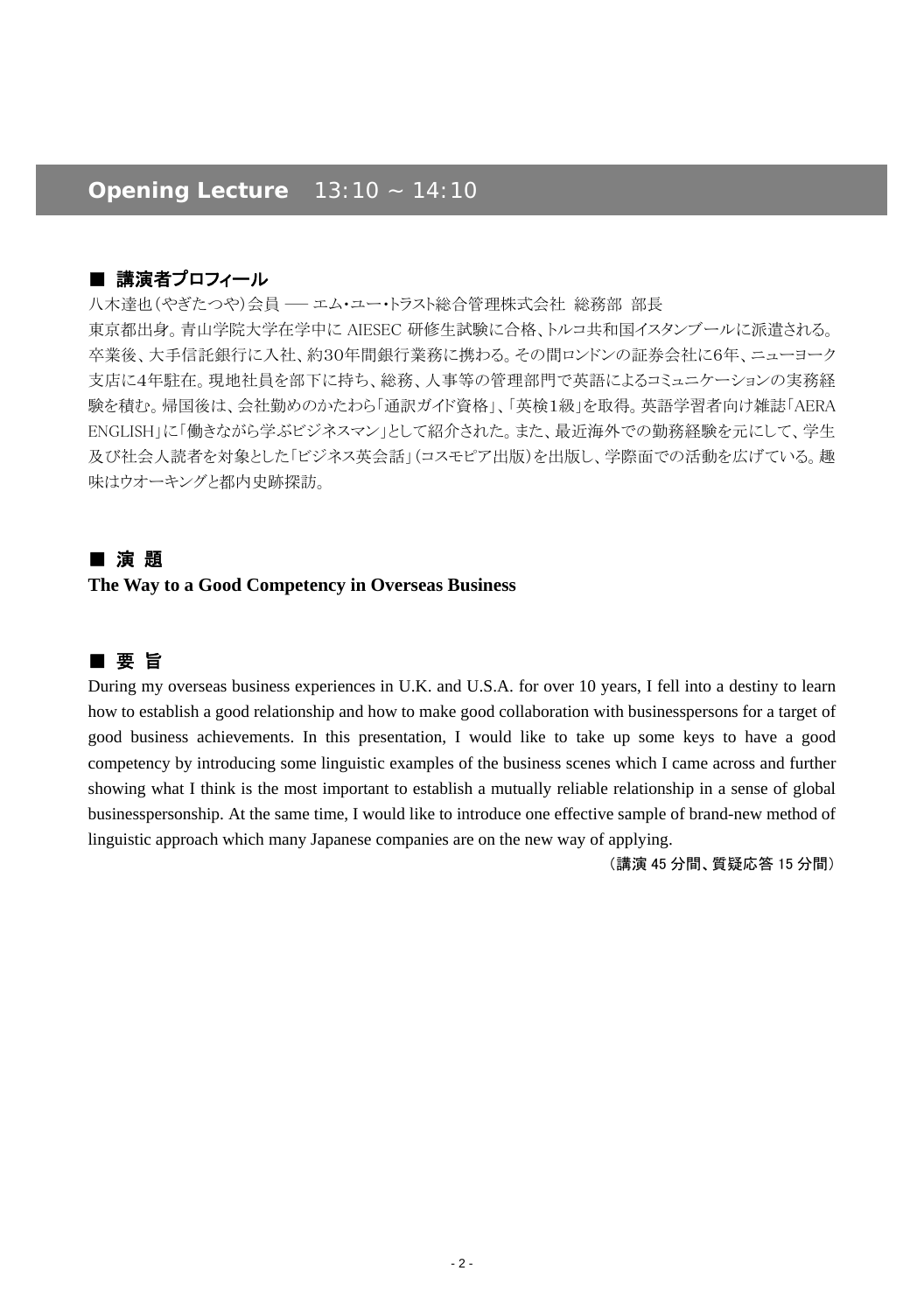# *Opening Lecture 13:10 ~ 14:10*

# ■ 講演者プロフィール

八木達也(やぎたつや)会員 – エム・ユー・トラスト総合管理株式会社 総務部 部長 東京都出身。青山学院大学在学中に AIESEC 研修生試験に合格、トルコ共和国イスタンブールに派遣される。 卒業後、大手信託銀行に入社、約30年間銀行業務に携わる。その間ロンドンの証券会社に6年、ニューヨーク 支店に4年駐在。現地社員を部下に持ち、総務、人事等の管理部門で英語によるコミュニケーションの実務経 験を積む。帰国後は、会社勤めのかたわら「通訳ガイド資格」、「英検1級」を取得。英語学習者向け雑誌「AERA ENGLISH」に「働きながら学ぶビジネスマン」として紹介された。また、最近海外での勤務経験を元にして、学生 及び社会人読者を対象とした「ビジネス英会話」(コスモピア出版)を出版し、学際面での活動を広げている。趣 味はウオーキングと都内史跡探訪。

# ■ 演 題

#### **The Way to a Good Competency in Overseas Business**

# ■ 要 旨

During my overseas business experiences in U.K. and U.S.A. for over 10 years, I fell into a destiny to learn how to establish a good relationship and how to make good collaboration with businesspersons for a target of good business achievements. In this presentation, I would like to take up some keys to have a good competency by introducing some linguistic examples of the business scenes which I came across and further showing what I think is the most important to establish a mutually reliable relationship in a sense of global businesspersonship. At the same time, I would like to introduce one effective sample of brand-new method of linguistic approach which many Japanese companies are on the new way of applying.

(講演 45 分間、質疑応答 15 分間)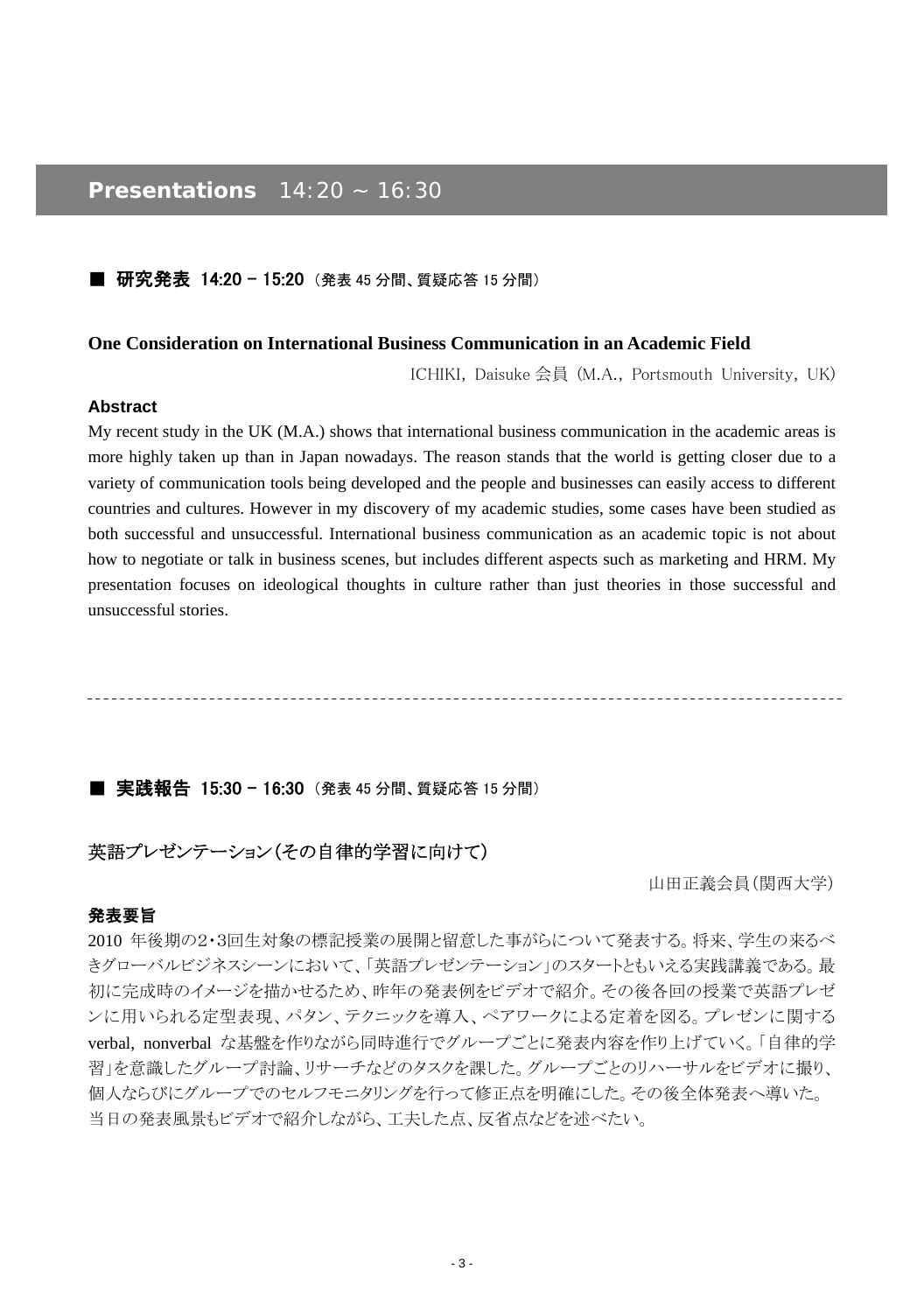# *Presentations 14:20 ~ 16:30*

#### ■ 研究発表 14:20 - 15:20 (発表 45 分間、質疑応答 15 分間)

#### **One Consideration on International Business Communication in an Academic Field**

ICHIKI, Daisuke 会員 (M.A., Portsmouth University, UK)

#### **Abstract**

My recent study in the UK (M.A.) shows that international business communication in the academic areas is more highly taken up than in Japan nowadays. The reason stands that the world is getting closer due to a variety of communication tools being developed and the people and businesses can easily access to different countries and cultures. However in my discovery of my academic studies, some cases have been studied as both successful and unsuccessful. International business communication as an academic topic is not about how to negotiate or talk in business scenes, but includes different aspects such as marketing and HRM. My presentation focuses on ideological thoughts in culture rather than just theories in those successful and unsuccessful stories.

## ■ 実践報告 15:30 - 16:30 (発表 45 分間、質疑応答 15 分間)

# 英語プレゼンテーション(その自律的学習に向けて)

山田正義会員(関西大学)

## 発表要旨

2010 年後期の2・3回生対象の標記授業の展開と留意した事がらについて発表する。将来、学生の来るべ きグローバルビジネスシーンにおいて、「英語プレゼンテーション」のスタートともいえる実践講義である。最 初に完成時のイメージを描かせるため、昨年の発表例をビデオで紹介。その後各回の授業で英語プレゼ ンに用いられる定型表現、パタン、テクニックを導入、ペアワークによる定着を図る。プレゼンに関する verbal, nonverbal な基盤を作りながら同時進行でグループごとに発表内容を作り上げていく。「自律的学 習」を意識したグループ討論、リサーチなどのタスクを課した。グループごとのリハーサルをビデオに撮り、 個人ならびにグループでのセルフモニタリングを行って修正点を明確にした。その後全体発表へ導いた。 当日の発表風景もビデオで紹介しながら、工夫した点、反省点などを述べたい。